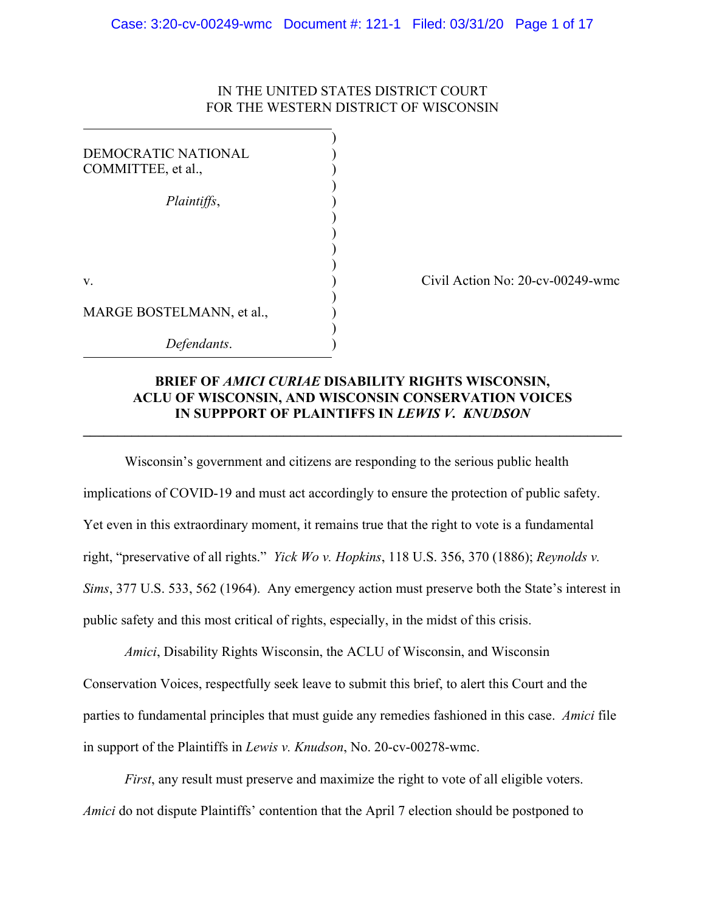# IN THE UNITED STATES DISTRICT COURT FOR THE WESTERN DISTRICT OF WISCONSIN

| <b>DEMOCRATIC NATIONAL</b><br>COMMITTEE, et al., |  |
|--------------------------------------------------|--|
| Plaintiffs,                                      |  |
|                                                  |  |
|                                                  |  |
| V.                                               |  |
| MARGE BOSTELMANN, et al.,                        |  |
| Defendants.                                      |  |

Civil Action No: 20-cv-00249-wmc

# **BRIEF OF** *AMICI CURIAE* **DISABILITY RIGHTS WISCONSIN, ACLU OF WISCONSIN, AND WISCONSIN CONSERVATION VOICES IN SUPPPORT OF PLAINTIFFS IN** *LEWIS V. KNUDSON*

**\_\_\_\_\_\_\_\_\_\_\_\_\_\_\_\_\_\_\_\_\_\_\_\_\_\_\_\_\_\_\_\_\_\_\_\_\_\_\_\_\_\_\_\_\_\_\_\_\_\_\_\_\_\_\_\_\_\_\_\_\_\_\_\_\_\_\_\_\_\_\_\_\_\_\_\_\_\_**

Wisconsin's government and citizens are responding to the serious public health implications of COVID-19 and must act accordingly to ensure the protection of public safety. Yet even in this extraordinary moment, it remains true that the right to vote is a fundamental right, "preservative of all rights." *Yick Wo v. Hopkins*, 118 U.S. 356, 370 (1886); *Reynolds v. Sims*, 377 U.S. 533, 562 (1964). Any emergency action must preserve both the State's interest in public safety and this most critical of rights, especially, in the midst of this crisis.

*Amici*, Disability Rights Wisconsin, the ACLU of Wisconsin, and Wisconsin Conservation Voices, respectfully seek leave to submit this brief, to alert this Court and the parties to fundamental principles that must guide any remedies fashioned in this case. *Amici* file in support of the Plaintiffs in *Lewis v. Knudson*, No. 20-cv-00278-wmc.

*First*, any result must preserve and maximize the right to vote of all eligible voters. *Amici* do not dispute Plaintiffs' contention that the April 7 election should be postponed to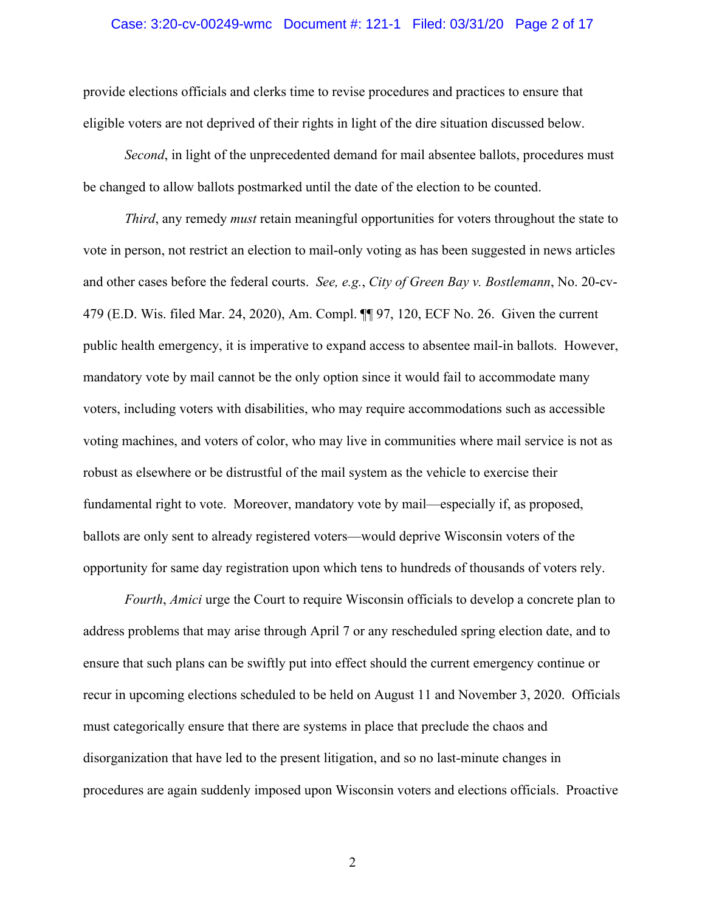#### Case: 3:20-cv-00249-wmc Document #: 121-1 Filed: 03/31/20 Page 2 of 17

provide elections officials and clerks time to revise procedures and practices to ensure that eligible voters are not deprived of their rights in light of the dire situation discussed below.

*Second*, in light of the unprecedented demand for mail absentee ballots, procedures must be changed to allow ballots postmarked until the date of the election to be counted.

*Third*, any remedy *must* retain meaningful opportunities for voters throughout the state to vote in person, not restrict an election to mail-only voting as has been suggested in news articles and other cases before the federal courts. *See, e.g.*, *City of Green Bay v. Bostlemann*, No. 20-cv-479 (E.D. Wis. filed Mar. 24, 2020), Am. Compl. ¶¶ 97, 120, ECF No. 26. Given the current public health emergency, it is imperative to expand access to absentee mail-in ballots. However, mandatory vote by mail cannot be the only option since it would fail to accommodate many voters, including voters with disabilities, who may require accommodations such as accessible voting machines, and voters of color, who may live in communities where mail service is not as robust as elsewhere or be distrustful of the mail system as the vehicle to exercise their fundamental right to vote. Moreover, mandatory vote by mail—especially if, as proposed, ballots are only sent to already registered voters—would deprive Wisconsin voters of the opportunity for same day registration upon which tens to hundreds of thousands of voters rely.

*Fourth*, *Amici* urge the Court to require Wisconsin officials to develop a concrete plan to address problems that may arise through April 7 or any rescheduled spring election date, and to ensure that such plans can be swiftly put into effect should the current emergency continue or recur in upcoming elections scheduled to be held on August 11 and November 3, 2020. Officials must categorically ensure that there are systems in place that preclude the chaos and disorganization that have led to the present litigation, and so no last-minute changes in procedures are again suddenly imposed upon Wisconsin voters and elections officials. Proactive

2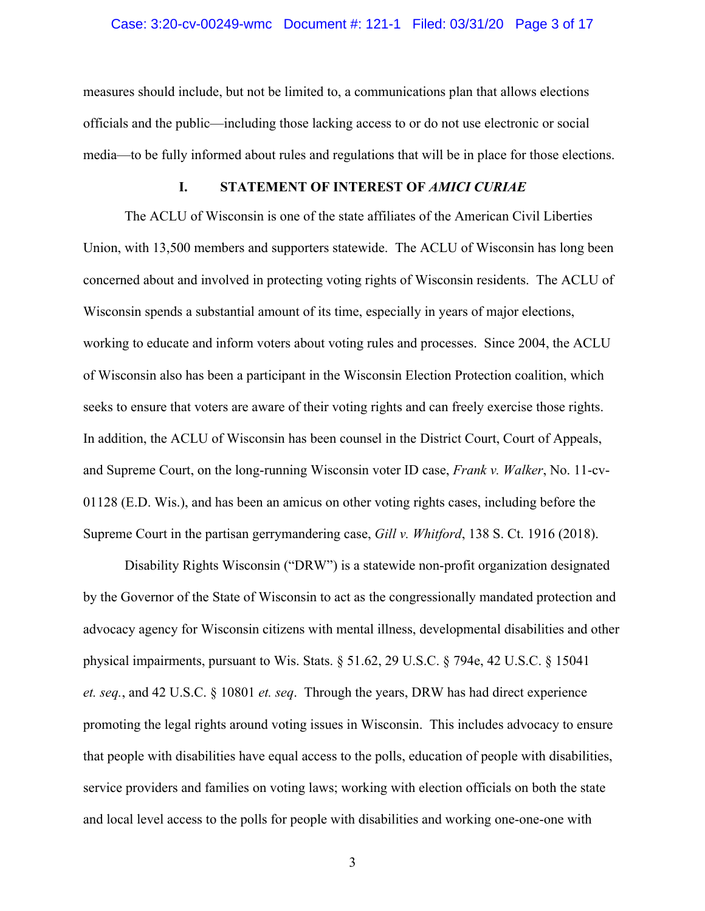#### Case: 3:20-cv-00249-wmc Document #: 121-1 Filed: 03/31/20 Page 3 of 17

measures should include, but not be limited to, a communications plan that allows elections officials and the public—including those lacking access to or do not use electronic or social media—to be fully informed about rules and regulations that will be in place for those elections.

## **I. STATEMENT OF INTEREST OF** *AMICI CURIAE*

The ACLU of Wisconsin is one of the state affiliates of the American Civil Liberties Union, with 13,500 members and supporters statewide. The ACLU of Wisconsin has long been concerned about and involved in protecting voting rights of Wisconsin residents. The ACLU of Wisconsin spends a substantial amount of its time, especially in years of major elections, working to educate and inform voters about voting rules and processes. Since 2004, the ACLU of Wisconsin also has been a participant in the Wisconsin Election Protection coalition, which seeks to ensure that voters are aware of their voting rights and can freely exercise those rights. In addition, the ACLU of Wisconsin has been counsel in the District Court, Court of Appeals, and Supreme Court, on the long-running Wisconsin voter ID case, *Frank v. Walker*, No. 11-cv-01128 (E.D. Wis.), and has been an amicus on other voting rights cases, including before the Supreme Court in the partisan gerrymandering case, *Gill v. Whitford*, 138 S. Ct. 1916 (2018).

Disability Rights Wisconsin ("DRW") is a statewide non-profit organization designated by the Governor of the State of Wisconsin to act as the congressionally mandated protection and advocacy agency for Wisconsin citizens with mental illness, developmental disabilities and other physical impairments, pursuant to Wis. Stats. § 51.62, 29 U.S.C. § 794e, 42 U.S.C. § 15041 *et. seq.*, and 42 U.S.C. § 10801 *et. seq*. Through the years, DRW has had direct experience promoting the legal rights around voting issues in Wisconsin. This includes advocacy to ensure that people with disabilities have equal access to the polls, education of people with disabilities, service providers and families on voting laws; working with election officials on both the state and local level access to the polls for people with disabilities and working one-one-one with

3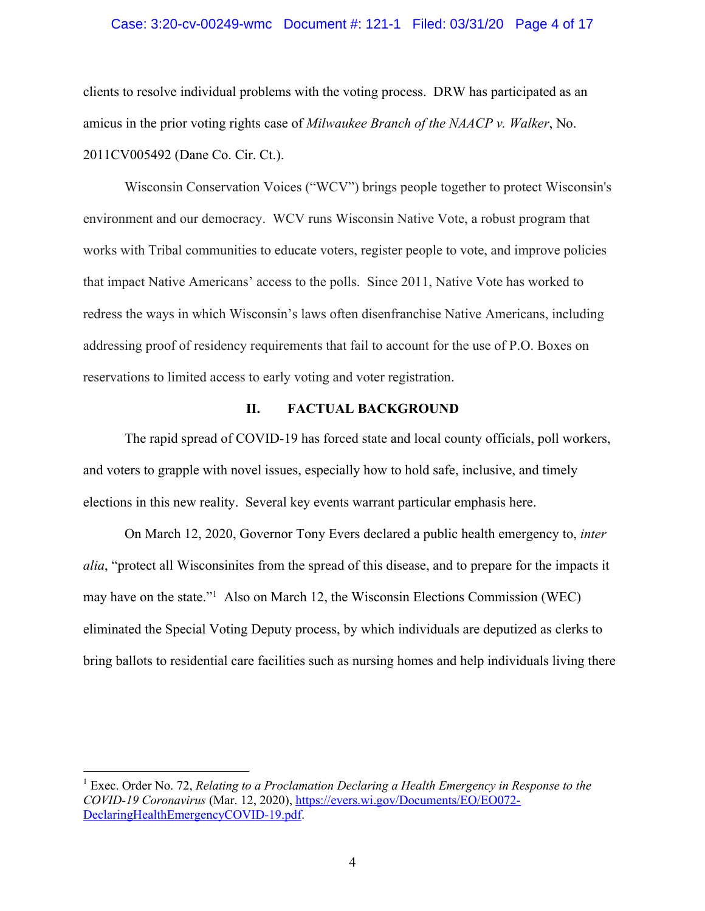#### Case: 3:20-cv-00249-wmc Document #: 121-1 Filed: 03/31/20 Page 4 of 17

clients to resolve individual problems with the voting process. DRW has participated as an amicus in the prior voting rights case of *Milwaukee Branch of the NAACP v. Walker*, No. 2011CV005492 (Dane Co. Cir. Ct.).

Wisconsin Conservation Voices ("WCV") brings people together to protect Wisconsin's environment and our democracy. WCV runs Wisconsin Native Vote, a robust program that works with Tribal communities to educate voters, register people to vote, and improve policies that impact Native Americans' access to the polls. Since 2011, Native Vote has worked to redress the ways in which Wisconsin's laws often disenfranchise Native Americans, including addressing proof of residency requirements that fail to account for the use of P.O. Boxes on reservations to limited access to early voting and voter registration.

### **II. FACTUAL BACKGROUND**

The rapid spread of COVID-19 has forced state and local county officials, poll workers, and voters to grapple with novel issues, especially how to hold safe, inclusive, and timely elections in this new reality. Several key events warrant particular emphasis here.

On March 12, 2020, Governor Tony Evers declared a public health emergency to, *inter alia*, "protect all Wisconsinites from the spread of this disease, and to prepare for the impacts it may have on the state."1 Also on March 12, the Wisconsin Elections Commission (WEC) eliminated the Special Voting Deputy process, by which individuals are deputized as clerks to bring ballots to residential care facilities such as nursing homes and help individuals living there

<sup>1</sup> Exec. Order No. 72, *Relating to a Proclamation Declaring a Health Emergency in Response to the COVID-19 Coronavirus* (Mar. 12, 2020), https://evers.wi.gov/Documents/EO/EO072- DeclaringHealthEmergencyCOVID-19.pdf.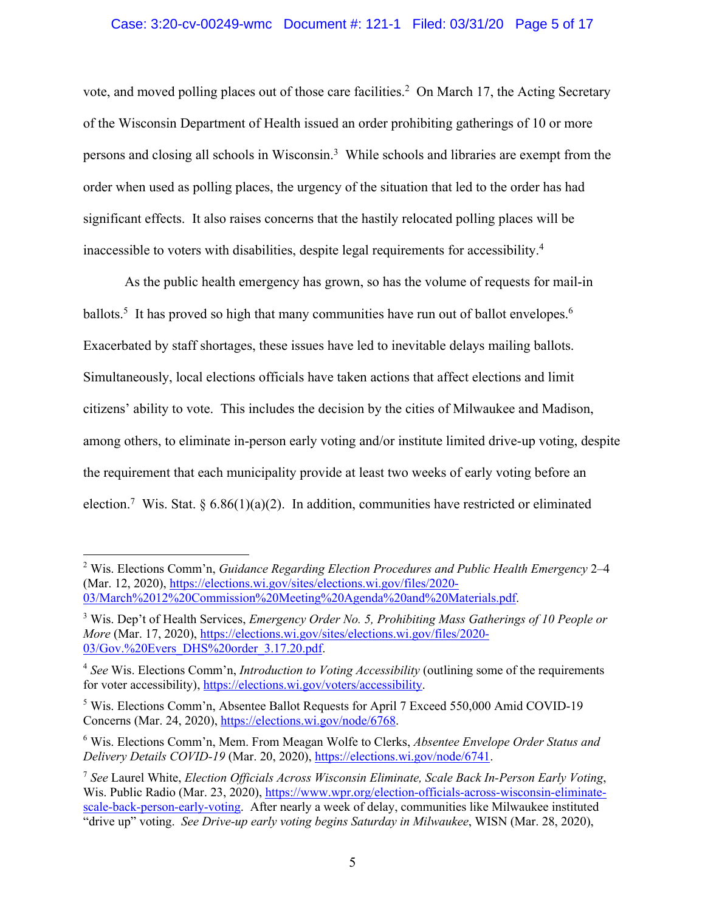# Case: 3:20-cv-00249-wmc Document #: 121-1 Filed: 03/31/20 Page 5 of 17

vote, and moved polling places out of those care facilities.<sup>2</sup> On March 17, the Acting Secretary of the Wisconsin Department of Health issued an order prohibiting gatherings of 10 or more persons and closing all schools in Wisconsin.<sup>3</sup> While schools and libraries are exempt from the order when used as polling places, the urgency of the situation that led to the order has had significant effects. It also raises concerns that the hastily relocated polling places will be inaccessible to voters with disabilities, despite legal requirements for accessibility.4

As the public health emergency has grown, so has the volume of requests for mail-in ballots.<sup>5</sup> It has proved so high that many communities have run out of ballot envelopes.<sup>6</sup> Exacerbated by staff shortages, these issues have led to inevitable delays mailing ballots. Simultaneously, local elections officials have taken actions that affect elections and limit citizens' ability to vote. This includes the decision by the cities of Milwaukee and Madison, among others, to eliminate in-person early voting and/or institute limited drive-up voting, despite the requirement that each municipality provide at least two weeks of early voting before an election.<sup>7</sup> Wis. Stat. § 6.86(1)(a)(2). In addition, communities have restricted or eliminated

<sup>2</sup> Wis. Elections Comm'n, *Guidance Regarding Election Procedures and Public Health Emergency* 2–4 (Mar. 12, 2020), https://elections.wi.gov/sites/elections.wi.gov/files/2020- 03/March%2012%20Commission%20Meeting%20Agenda%20and%20Materials.pdf.

<sup>3</sup> Wis. Dep't of Health Services, *Emergency Order No. 5, Prohibiting Mass Gatherings of 10 People or More* (Mar. 17, 2020), https://elections.wi.gov/sites/elections.wi.gov/files/2020- 03/Gov.%20Evers\_DHS%20order\_3.17.20.pdf.

<sup>4</sup> *See* Wis. Elections Comm'n, *Introduction to Voting Accessibility* (outlining some of the requirements for voter accessibility), https://elections.wi.gov/voters/accessibility.

<sup>5</sup> Wis. Elections Comm'n, Absentee Ballot Requests for April 7 Exceed 550,000 Amid COVID-19 Concerns (Mar. 24, 2020), https://elections.wi.gov/node/6768.

<sup>6</sup> Wis. Elections Comm'n, Mem. From Meagan Wolfe to Clerks, *Absentee Envelope Order Status and Delivery Details COVID-19* (Mar. 20, 2020), https://elections.wi.gov/node/6741.

<sup>7</sup> *See* Laurel White, *Election Officials Across Wisconsin Eliminate, Scale Back In-Person Early Voting*, Wis. Public Radio (Mar. 23, 2020), https://www.wpr.org/election-officials-across-wisconsin-eliminatescale-back-person-early-voting. After nearly a week of delay, communities like Milwaukee instituted "drive up" voting. *See Drive-up early voting begins Saturday in Milwaukee*, WISN (Mar. 28, 2020),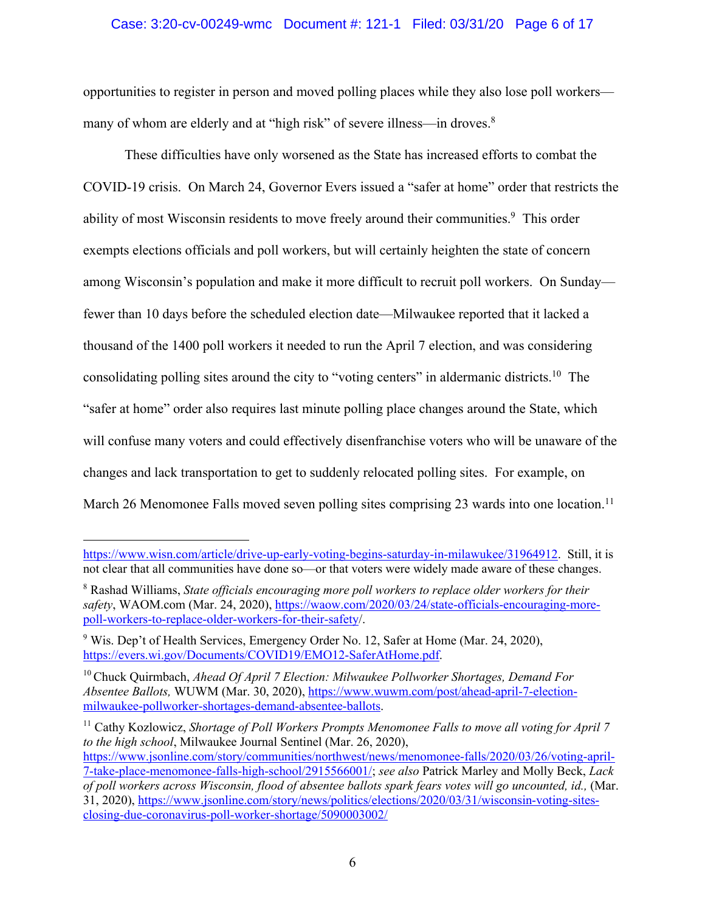## Case: 3:20-cv-00249-wmc Document #: 121-1 Filed: 03/31/20 Page 6 of 17

opportunities to register in person and moved polling places while they also lose poll workers many of whom are elderly and at "high risk" of severe illness—in droves.<sup>8</sup>

These difficulties have only worsened as the State has increased efforts to combat the COVID-19 crisis. On March 24, Governor Evers issued a "safer at home" order that restricts the ability of most Wisconsin residents to move freely around their communities.<sup>9</sup> This order exempts elections officials and poll workers, but will certainly heighten the state of concern among Wisconsin's population and make it more difficult to recruit poll workers. On Sunday fewer than 10 days before the scheduled election date—Milwaukee reported that it lacked a thousand of the 1400 poll workers it needed to run the April 7 election, and was considering consolidating polling sites around the city to "voting centers" in aldermanic districts.10 The "safer at home" order also requires last minute polling place changes around the State, which will confuse many voters and could effectively disenfranchise voters who will be unaware of the changes and lack transportation to get to suddenly relocated polling sites. For example, on March 26 Menomonee Falls moved seven polling sites comprising 23 wards into one location.<sup>11</sup>

<sup>11</sup> Cathy Kozlowicz, *Shortage of Poll Workers Prompts Menomonee Falls to move all voting for April 7 to the high school*, Milwaukee Journal Sentinel (Mar. 26, 2020), https://www.jsonline.com/story/communities/northwest/news/menomonee-falls/2020/03/26/voting-april-7-take-place-menomonee-falls-high-school/2915566001/; *see also* Patrick Marley and Molly Beck, *Lack of poll workers across Wisconsin, flood of absentee ballots spark fears votes will go uncounted, id.,* (Mar. 31, 2020), https://www.jsonline.com/story/news/politics/elections/2020/03/31/wisconsin-voting-sitesclosing-due-coronavirus-poll-worker-shortage/5090003002/

https://www.wisn.com/article/drive-up-early-voting-begins-saturday-in-milawukee/31964912. Still, it is not clear that all communities have done so—or that voters were widely made aware of these changes.

<sup>8</sup> Rashad Williams, *State officials encouraging more poll workers to replace older workers for their safety*, WAOM.com (Mar. 24, 2020), https://waow.com/2020/03/24/state-officials-encouraging-morepoll-workers-to-replace-older-workers-for-their-safety/.

<sup>&</sup>lt;sup>9</sup> Wis. Dep't of Health Services, Emergency Order No. 12, Safer at Home (Mar. 24, 2020), https://evers.wi.gov/Documents/COVID19/EMO12-SaferAtHome.pdf.

<sup>10</sup> Chuck Quirmbach, *Ahead Of April 7 Election: Milwaukee Pollworker Shortages, Demand For Absentee Ballots,* WUWM (Mar. 30, 2020), https://www.wuwm.com/post/ahead-april-7-electionmilwaukee-pollworker-shortages-demand-absentee-ballots.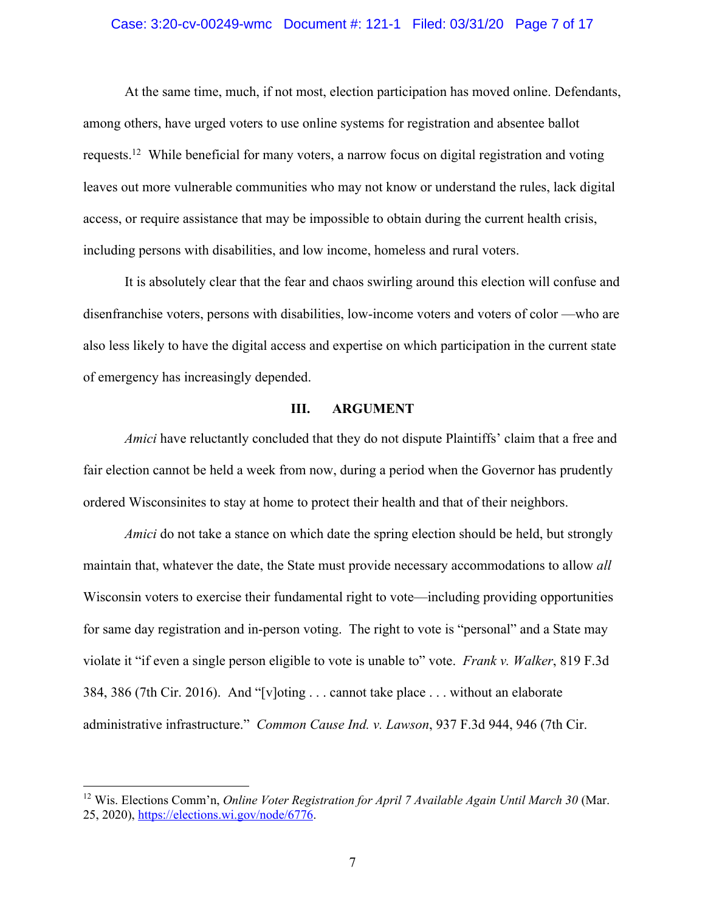#### Case: 3:20-cv-00249-wmc Document #: 121-1 Filed: 03/31/20 Page 7 of 17

At the same time, much, if not most, election participation has moved online. Defendants, among others, have urged voters to use online systems for registration and absentee ballot requests.12 While beneficial for many voters, a narrow focus on digital registration and voting leaves out more vulnerable communities who may not know or understand the rules, lack digital access, or require assistance that may be impossible to obtain during the current health crisis, including persons with disabilities, and low income, homeless and rural voters.

It is absolutely clear that the fear and chaos swirling around this election will confuse and disenfranchise voters, persons with disabilities, low-income voters and voters of color —who are also less likely to have the digital access and expertise on which participation in the current state of emergency has increasingly depended.

### **III. ARGUMENT**

*Amici* have reluctantly concluded that they do not dispute Plaintiffs' claim that a free and fair election cannot be held a week from now, during a period when the Governor has prudently ordered Wisconsinites to stay at home to protect their health and that of their neighbors.

*Amici* do not take a stance on which date the spring election should be held, but strongly maintain that, whatever the date, the State must provide necessary accommodations to allow *all* Wisconsin voters to exercise their fundamental right to vote—including providing opportunities for same day registration and in-person voting. The right to vote is "personal" and a State may violate it "if even a single person eligible to vote is unable to" vote. *Frank v. Walker*, 819 F.3d 384, 386 (7th Cir. 2016). And "[v]oting . . . cannot take place . . . without an elaborate administrative infrastructure." *Common Cause Ind. v. Lawson*, 937 F.3d 944, 946 (7th Cir.

<sup>12</sup> Wis. Elections Comm'n, *Online Voter Registration for April 7 Available Again Until March 30* (Mar. 25, 2020), https://elections.wi.gov/node/6776.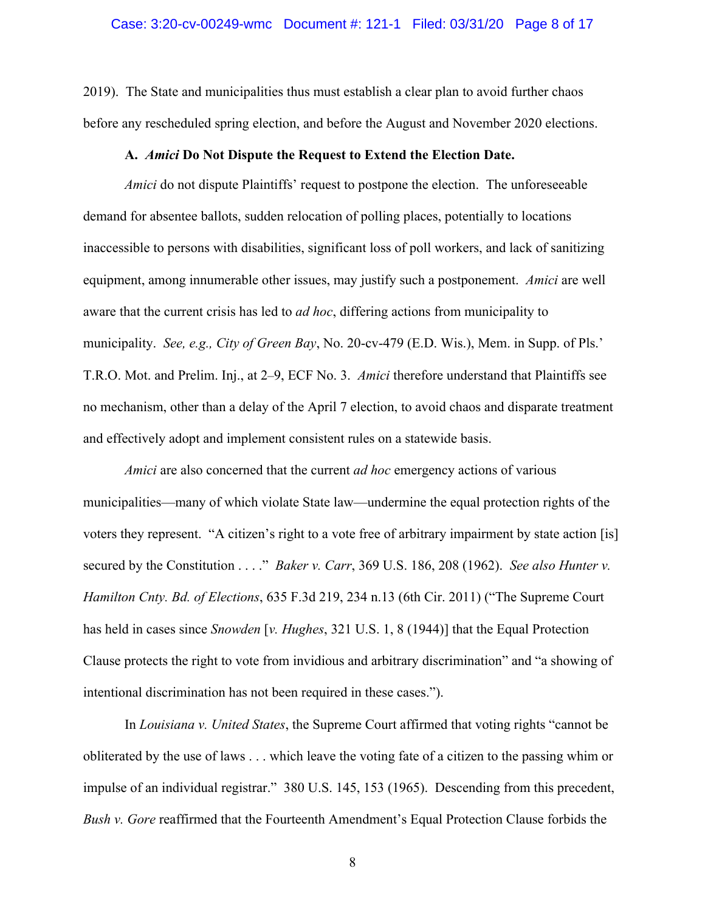2019). The State and municipalities thus must establish a clear plan to avoid further chaos before any rescheduled spring election, and before the August and November 2020 elections.

### **A.** *Amici* **Do Not Dispute the Request to Extend the Election Date.**

*Amici* do not dispute Plaintiffs' request to postpone the election. The unforeseeable demand for absentee ballots, sudden relocation of polling places, potentially to locations inaccessible to persons with disabilities, significant loss of poll workers, and lack of sanitizing equipment, among innumerable other issues, may justify such a postponement. *Amici* are well aware that the current crisis has led to *ad hoc*, differing actions from municipality to municipality. *See, e.g., City of Green Bay*, No. 20-cv-479 (E.D. Wis.), Mem. in Supp. of Pls.' T.R.O. Mot. and Prelim. Inj., at 2–9, ECF No. 3. *Amici* therefore understand that Plaintiffs see no mechanism, other than a delay of the April 7 election, to avoid chaos and disparate treatment and effectively adopt and implement consistent rules on a statewide basis.

*Amici* are also concerned that the current *ad hoc* emergency actions of various municipalities—many of which violate State law—undermine the equal protection rights of the voters they represent. "A citizen's right to a vote free of arbitrary impairment by state action [is] secured by the Constitution . . . ." *Baker v. Carr*, 369 U.S. 186, 208 (1962). *See also Hunter v. Hamilton Cnty. Bd. of Elections*, 635 F.3d 219, 234 n.13 (6th Cir. 2011) ("The Supreme Court has held in cases since *Snowden* [*v. Hughes*, 321 U.S. 1, 8 (1944)] that the Equal Protection Clause protects the right to vote from invidious and arbitrary discrimination" and "a showing of intentional discrimination has not been required in these cases.").

In *Louisiana v. United States*, the Supreme Court affirmed that voting rights "cannot be obliterated by the use of laws . . . which leave the voting fate of a citizen to the passing whim or impulse of an individual registrar." 380 U.S. 145, 153 (1965). Descending from this precedent, *Bush v. Gore* reaffirmed that the Fourteenth Amendment's Equal Protection Clause forbids the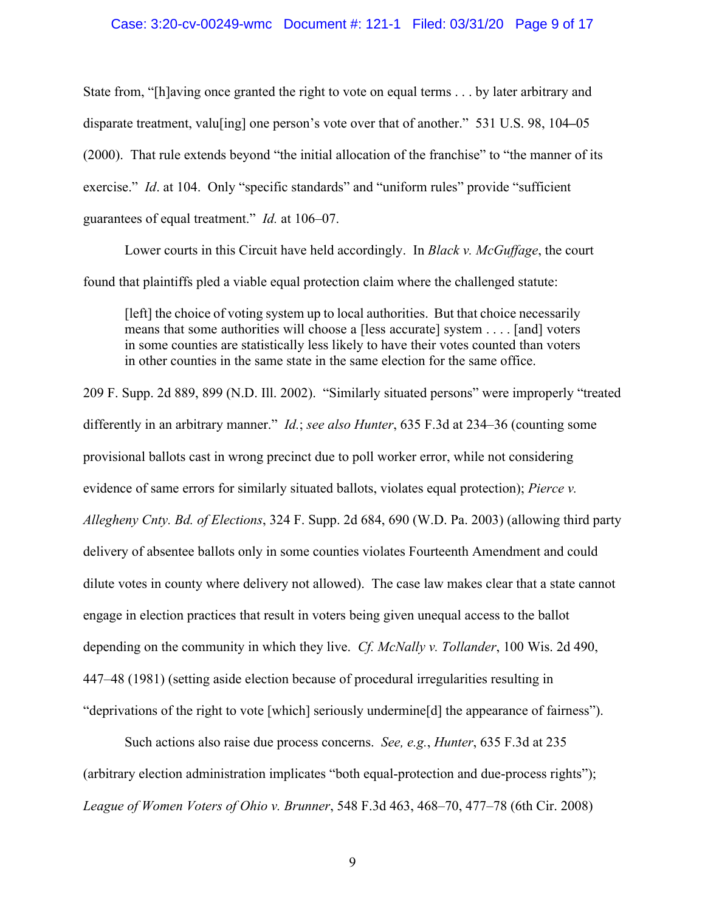#### Case: 3:20-cv-00249-wmc Document #: 121-1 Filed: 03/31/20 Page 9 of 17

State from, "[h]aving once granted the right to vote on equal terms . . . by later arbitrary and disparate treatment, valu[ing] one person's vote over that of another." 531 U.S. 98, 104**–**05 (2000). That rule extends beyond "the initial allocation of the franchise" to "the manner of its exercise." *Id.* at 104. Only "specific standards" and "uniform rules" provide "sufficient guarantees of equal treatment." *Id.* at 106–07.

Lower courts in this Circuit have held accordingly. In *Black v. McGuffage*, the court found that plaintiffs pled a viable equal protection claim where the challenged statute:

[left] the choice of voting system up to local authorities. But that choice necessarily means that some authorities will choose a [less accurate] system . . . . [and] voters in some counties are statistically less likely to have their votes counted than voters in other counties in the same state in the same election for the same office.

209 F. Supp. 2d 889, 899 (N.D. Ill. 2002). "Similarly situated persons" were improperly "treated differently in an arbitrary manner." *Id.*; *see also Hunter*, 635 F.3d at 234–36 (counting some provisional ballots cast in wrong precinct due to poll worker error, while not considering evidence of same errors for similarly situated ballots, violates equal protection); *Pierce v. Allegheny Cnty. Bd. of Elections*, 324 F. Supp. 2d 684, 690 (W.D. Pa. 2003) (allowing third party delivery of absentee ballots only in some counties violates Fourteenth Amendment and could dilute votes in county where delivery not allowed). The case law makes clear that a state cannot engage in election practices that result in voters being given unequal access to the ballot depending on the community in which they live. *Cf. McNally v. Tollander*, 100 Wis. 2d 490, 447–48 (1981) (setting aside election because of procedural irregularities resulting in "deprivations of the right to vote [which] seriously undermine[d] the appearance of fairness").

Such actions also raise due process concerns. *See, e.g.*, *Hunter*, 635 F.3d at 235 (arbitrary election administration implicates "both equal-protection and due-process rights"); *League of Women Voters of Ohio v. Brunner*, 548 F.3d 463, 468–70, 477–78 (6th Cir. 2008)

9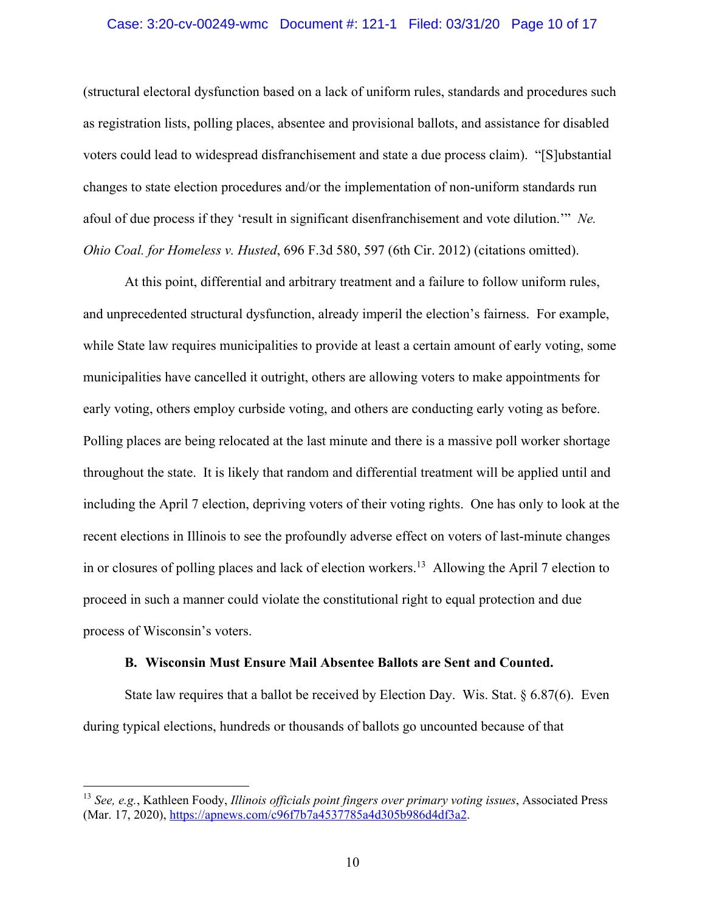### Case: 3:20-cv-00249-wmc Document #: 121-1 Filed: 03/31/20 Page 10 of 17

(structural electoral dysfunction based on a lack of uniform rules, standards and procedures such as registration lists, polling places, absentee and provisional ballots, and assistance for disabled voters could lead to widespread disfranchisement and state a due process claim). "[S]ubstantial changes to state election procedures and/or the implementation of non-uniform standards run afoul of due process if they 'result in significant disenfranchisement and vote dilution.'" *Ne. Ohio Coal. for Homeless v. Husted*, 696 F.3d 580, 597 (6th Cir. 2012) (citations omitted).

At this point, differential and arbitrary treatment and a failure to follow uniform rules, and unprecedented structural dysfunction, already imperil the election's fairness. For example, while State law requires municipalities to provide at least a certain amount of early voting, some municipalities have cancelled it outright, others are allowing voters to make appointments for early voting, others employ curbside voting, and others are conducting early voting as before. Polling places are being relocated at the last minute and there is a massive poll worker shortage throughout the state. It is likely that random and differential treatment will be applied until and including the April 7 election, depriving voters of their voting rights. One has only to look at the recent elections in Illinois to see the profoundly adverse effect on voters of last-minute changes in or closures of polling places and lack of election workers. <sup>13</sup> Allowing the April 7 election to proceed in such a manner could violate the constitutional right to equal protection and due process of Wisconsin's voters.

#### **B. Wisconsin Must Ensure Mail Absentee Ballots are Sent and Counted.**

State law requires that a ballot be received by Election Day. Wis. Stat.  $\S 6.87(6)$ . Even during typical elections, hundreds or thousands of ballots go uncounted because of that

<sup>13</sup> *See, e.g.*, Kathleen Foody, *Illinois officials point fingers over primary voting issues*, Associated Press (Mar. 17, 2020), https://apnews.com/c96f7b7a4537785a4d305b986d4df3a2.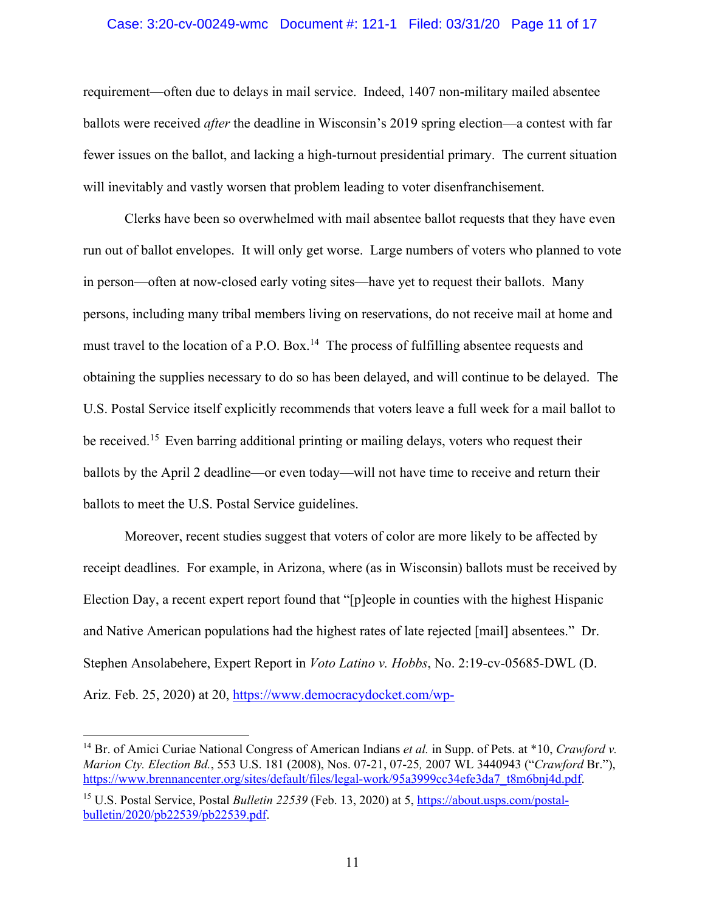### Case: 3:20-cv-00249-wmc Document #: 121-1 Filed: 03/31/20 Page 11 of 17

requirement—often due to delays in mail service. Indeed, 1407 non-military mailed absentee ballots were received *after* the deadline in Wisconsin's 2019 spring election—a contest with far fewer issues on the ballot, and lacking a high-turnout presidential primary. The current situation will inevitably and vastly worsen that problem leading to voter disenfranchisement.

Clerks have been so overwhelmed with mail absentee ballot requests that they have even run out of ballot envelopes. It will only get worse. Large numbers of voters who planned to vote in person—often at now-closed early voting sites—have yet to request their ballots. Many persons, including many tribal members living on reservations, do not receive mail at home and must travel to the location of a P.O. Box.<sup>14</sup> The process of fulfilling absentee requests and obtaining the supplies necessary to do so has been delayed, and will continue to be delayed. The U.S. Postal Service itself explicitly recommends that voters leave a full week for a mail ballot to be received.<sup>15</sup> Even barring additional printing or mailing delays, voters who request their ballots by the April 2 deadline—or even today—will not have time to receive and return their ballots to meet the U.S. Postal Service guidelines.

Moreover, recent studies suggest that voters of color are more likely to be affected by receipt deadlines. For example, in Arizona, where (as in Wisconsin) ballots must be received by Election Day, a recent expert report found that "[p]eople in counties with the highest Hispanic and Native American populations had the highest rates of late rejected [mail] absentees." Dr. Stephen Ansolabehere, Expert Report in *Voto Latino v. Hobbs*, No. 2:19-cv-05685-DWL (D. Ariz. Feb. 25, 2020) at 20, https://www.democracydocket.com/wp-

<sup>&</sup>lt;sup>14</sup> Br. of Amici Curiae National Congress of American Indians *et al.* in Supp. of Pets. at \*10, *Crawford v. Marion Cty. Election Bd.*, 553 U.S. 181 (2008), Nos. 07-21, 07-25*,* 2007 WL 3440943 ("*Crawford* Br."), https://www.brennancenter.org/sites/default/files/legal-work/95a3999cc34efe3da7\_t8m6bnj4d.pdf.

<sup>15</sup> U.S. Postal Service, Postal *Bulletin 22539* (Feb. 13, 2020) at 5, https://about.usps.com/postalbulletin/2020/pb22539/pb22539.pdf.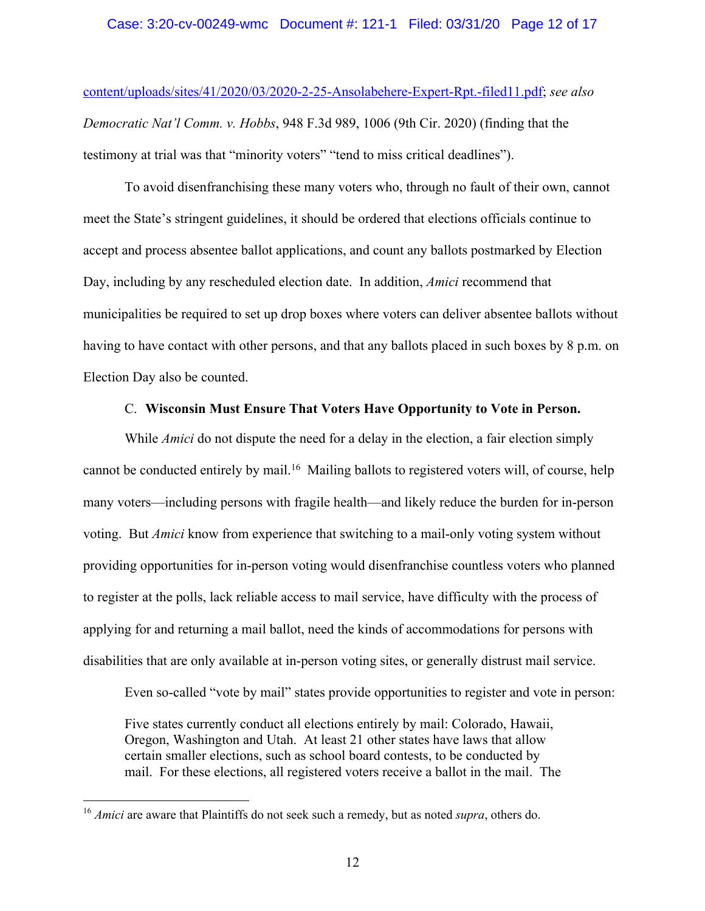content/uploads/sites/41/2020/03/2020-2-25-Ansolabehere-Expert-Rpt.-filed11.pdf; *see also Democratic Nat'l Comm. v. Hobbs*, 948 F.3d 989, 1006 (9th Cir. 2020) (finding that the testimony at trial was that "minority voters" "tend to miss critical deadlines").

To avoid disenfranchising these many voters who, through no fault of their own, cannot meet the State's stringent guidelines, it should be ordered that elections officials continue to accept and process absentee ballot applications, and count any ballots postmarked by Election Day, including by any rescheduled election date. In addition, *Amici* recommend that municipalities be required to set up drop boxes where voters can deliver absentee ballots without having to have contact with other persons, and that any ballots placed in such boxes by 8 p.m. on Election Day also be counted.

# C. **Wisconsin Must Ensure That Voters Have Opportunity to Vote in Person.**

While *Amici* do not dispute the need for a delay in the election, a fair election simply cannot be conducted entirely by mail.<sup>16</sup> Mailing ballots to registered voters will, of course, help many voters—including persons with fragile health—and likely reduce the burden for in-person voting. But *Amici* know from experience that switching to a mail-only voting system without providing opportunities for in-person voting would disenfranchise countless voters who planned to register at the polls, lack reliable access to mail service, have difficulty with the process of applying for and returning a mail ballot, need the kinds of accommodations for persons with disabilities that are only available at in-person voting sites, or generally distrust mail service.

Even so-called "vote by mail" states provide opportunities to register and vote in person:

Five states currently conduct all elections entirely by mail: Colorado, Hawaii, Oregon, Washington and Utah. At least 21 other states have laws that allow certain smaller elections, such as school board contests, to be conducted by mail. For these elections, all registered voters receive a ballot in the mail. The

<sup>&</sup>lt;sup>16</sup> *Amici* are aware that Plaintiffs do not seek such a remedy, but as noted *supra*, others do.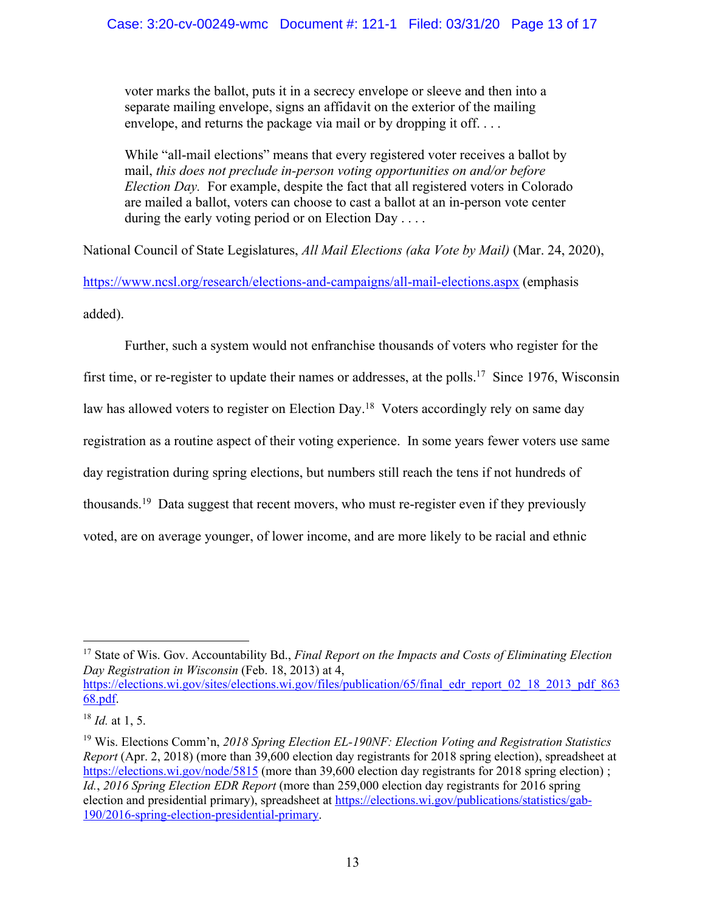voter marks the ballot, puts it in a secrecy envelope or sleeve and then into a separate mailing envelope, signs an affidavit on the exterior of the mailing envelope, and returns the package via mail or by dropping it off....

While "all-mail elections" means that every registered voter receives a ballot by mail, *this does not preclude in-person voting opportunities on and/or before Election Day.* For example, despite the fact that all registered voters in Colorado are mailed a ballot, voters can choose to cast a ballot at an in-person vote center during the early voting period or on Election Day ....

National Council of State Legislatures, *All Mail Elections (aka Vote by Mail)* (Mar. 24, 2020),

https://www.ncsl.org/research/elections-and-campaigns/all-mail-elections.aspx (emphasis added).

Further, such a system would not enfranchise thousands of voters who register for the first time, or re-register to update their names or addresses, at the polls.<sup>17</sup> Since 1976, Wisconsin law has allowed voters to register on Election Day.<sup>18</sup> Voters accordingly rely on same day registration as a routine aspect of their voting experience. In some years fewer voters use same day registration during spring elections, but numbers still reach the tens if not hundreds of thousands.19 Data suggest that recent movers, who must re-register even if they previously voted, are on average younger, of lower income, and are more likely to be racial and ethnic

<sup>17</sup> State of Wis. Gov. Accountability Bd., *Final Report on the Impacts and Costs of Eliminating Election Day Registration in Wisconsin* (Feb. 18, 2013) at 4, https://elections.wi.gov/sites/elections.wi.gov/files/publication/65/final edr\_report\_02\_18\_2013\_pdf\_863

68.pdf.

<sup>18</sup> *Id.* at 1, 5.

<sup>19</sup> Wis. Elections Comm'n, *2018 Spring Election EL-190NF: Election Voting and Registration Statistics Report* (Apr. 2, 2018) (more than 39,600 election day registrants for 2018 spring election), spreadsheet at https://elections.wi.gov/node/5815 (more than 39,600 election day registrants for 2018 spring election); *Id.*, *2016 Spring Election EDR Report* (more than 259,000 election day registrants for 2016 spring election and presidential primary), spreadsheet at https://elections.wi.gov/publications/statistics/gab-190/2016-spring-election-presidential-primary.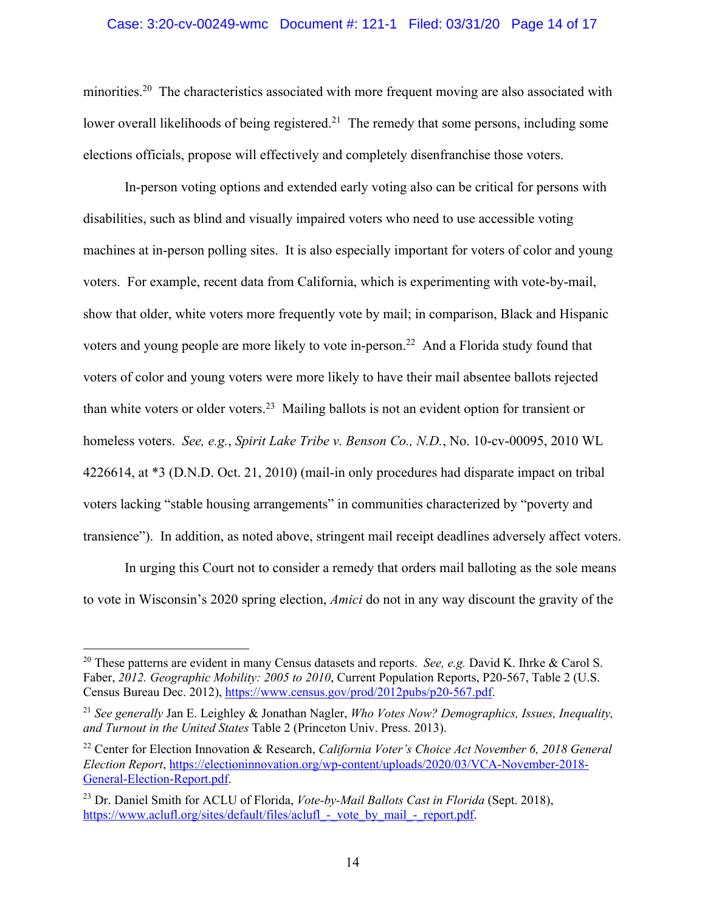### Case: 3:20-cv-00249-wmc Document #: 121-1 Filed: 03/31/20 Page 14 of 17

minorities.<sup>20</sup> The characteristics associated with more frequent moving are also associated with lower overall likelihoods of being registered.<sup>21</sup> The remedy that some persons, including some elections officials, propose will effectively and completely disenfranchise those voters.

In-person voting options and extended early voting also can be critical for persons with disabilities, such as blind and visually impaired voters who need to use accessible voting machines at in-person polling sites. It is also especially important for voters of color and young voters. For example, recent data from California, which is experimenting with vote-by-mail, show that older, white voters more frequently vote by mail; in comparison, Black and Hispanic voters and young people are more likely to vote in-person.<sup>22</sup> And a Florida study found that voters of color and young voters were more likely to have their mail absentee ballots rejected than white voters or older voters.23 Mailing ballots is not an evident option for transient or homeless voters. *See, e.g.*, *Spirit Lake Tribe v. Benson Co., N.D.*, No. 10-cv-00095, 2010 WL 4226614, at \*3 (D.N.D. Oct. 21, 2010) (mail-in only procedures had disparate impact on tribal voters lacking "stable housing arrangements" in communities characterized by "poverty and transience"). In addition, as noted above, stringent mail receipt deadlines adversely affect voters.

In urging this Court not to consider a remedy that orders mail balloting as the sole means to vote in Wisconsin's 2020 spring election, *Amici* do not in any way discount the gravity of the

<sup>20</sup> These patterns are evident in many Census datasets and reports. *See, e.g.* David K. Ihrke & Carol S. Faber, *2012. Geographic Mobility: 2005 to 2010*, Current Population Reports, P20-567, Table 2 (U.S. Census Bureau Dec. 2012), https://www.census.gov/prod/2012pubs/p20-567.pdf.

<sup>21</sup> *See generally* Jan E. Leighley & Jonathan Nagler, *Who Votes Now? Demographics, Issues, Inequality, and Turnout in the United States* Table 2 (Princeton Univ. Press. 2013).

<sup>22</sup> Center for Election Innovation & Research, *California Voter's Choice Act November 6, 2018 General Election Report*, https://electioninnovation.org/wp-content/uploads/2020/03/VCA-November-2018- General-Election-Report.pdf.

<sup>23</sup> Dr. Daniel Smith for ACLU of Florida, *Vote-by-Mail Ballots Cast in Florida* (Sept. 2018), https://www.aclufl.org/sites/default/files/aclufl - vote by mail - report.pdf.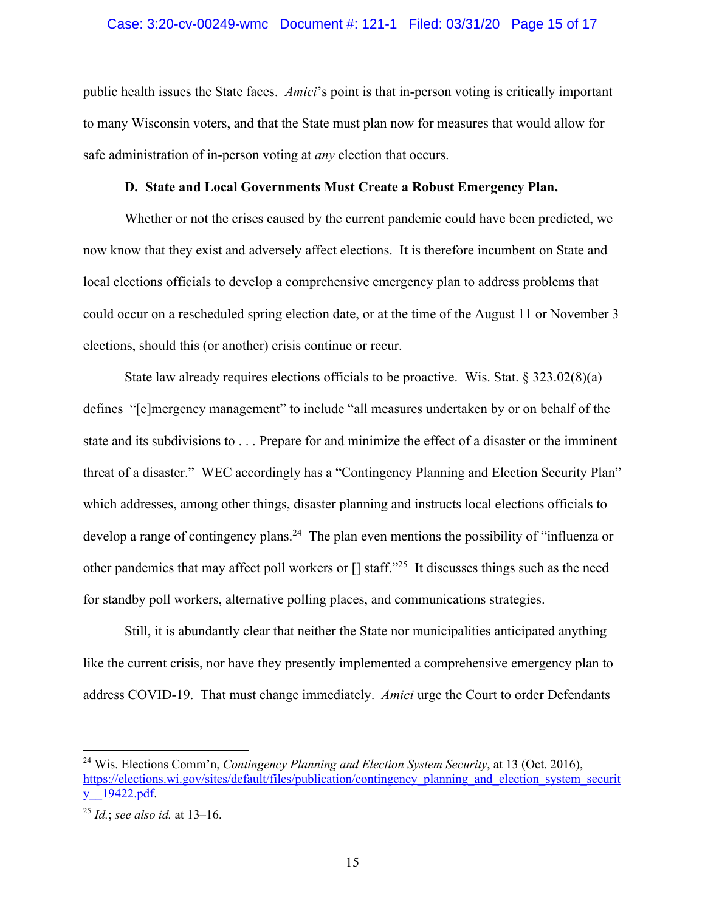#### Case: 3:20-cv-00249-wmc Document #: 121-1 Filed: 03/31/20 Page 15 of 17

public health issues the State faces. *Amici*'s point is that in-person voting is critically important to many Wisconsin voters, and that the State must plan now for measures that would allow for safe administration of in-person voting at *any* election that occurs.

# **D. State and Local Governments Must Create a Robust Emergency Plan.**

Whether or not the crises caused by the current pandemic could have been predicted, we now know that they exist and adversely affect elections. It is therefore incumbent on State and local elections officials to develop a comprehensive emergency plan to address problems that could occur on a rescheduled spring election date, or at the time of the August 11 or November 3 elections, should this (or another) crisis continue or recur.

State law already requires elections officials to be proactive. Wis. Stat.  $\S 323.02(8)(a)$ defines "[e]mergency management" to include "all measures undertaken by or on behalf of the state and its subdivisions to . . . Prepare for and minimize the effect of a disaster or the imminent threat of a disaster." WEC accordingly has a "Contingency Planning and Election Security Plan" which addresses, among other things, disaster planning and instructs local elections officials to develop a range of contingency plans.<sup>24</sup> The plan even mentions the possibility of "influenza or other pandemics that may affect poll workers or [] staff."25 It discusses things such as the need for standby poll workers, alternative polling places, and communications strategies.

Still, it is abundantly clear that neither the State nor municipalities anticipated anything like the current crisis, nor have they presently implemented a comprehensive emergency plan to address COVID-19. That must change immediately. *Amici* urge the Court to order Defendants

<sup>24</sup> Wis. Elections Comm'n, *Contingency Planning and Election System Security*, at 13 (Oct. 2016), https://elections.wi.gov/sites/default/files/publication/contingency\_planning\_and\_election\_system\_securit y\_\_19422.pdf.

<sup>25</sup> *Id.*; *see also id.* at 13–16.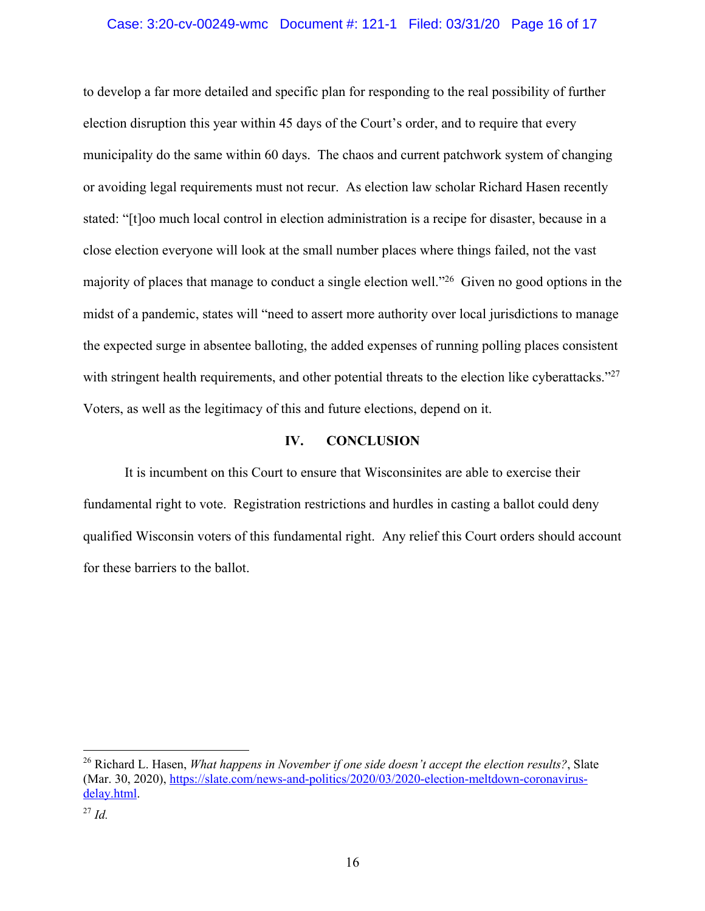### Case: 3:20-cv-00249-wmc Document #: 121-1 Filed: 03/31/20 Page 16 of 17

to develop a far more detailed and specific plan for responding to the real possibility of further election disruption this year within 45 days of the Court's order, and to require that every municipality do the same within 60 days. The chaos and current patchwork system of changing or avoiding legal requirements must not recur. As election law scholar Richard Hasen recently stated: "[t]oo much local control in election administration is a recipe for disaster, because in a close election everyone will look at the small number places where things failed, not the vast majority of places that manage to conduct a single election well."26 Given no good options in the midst of a pandemic, states will "need to assert more authority over local jurisdictions to manage the expected surge in absentee balloting, the added expenses of running polling places consistent with stringent health requirements, and other potential threats to the election like cyberattacks."<sup>27</sup> Voters, as well as the legitimacy of this and future elections, depend on it.

### **IV. CONCLUSION**

It is incumbent on this Court to ensure that Wisconsinites are able to exercise their fundamental right to vote. Registration restrictions and hurdles in casting a ballot could deny qualified Wisconsin voters of this fundamental right. Any relief this Court orders should account for these barriers to the ballot.

<sup>26</sup> Richard L. Hasen, *What happens in November if one side doesn't accept the election results?*, Slate (Mar. 30, 2020), https://slate.com/news-and-politics/2020/03/2020-election-meltdown-coronavirusdelay.html.

<sup>27</sup> *Id.*